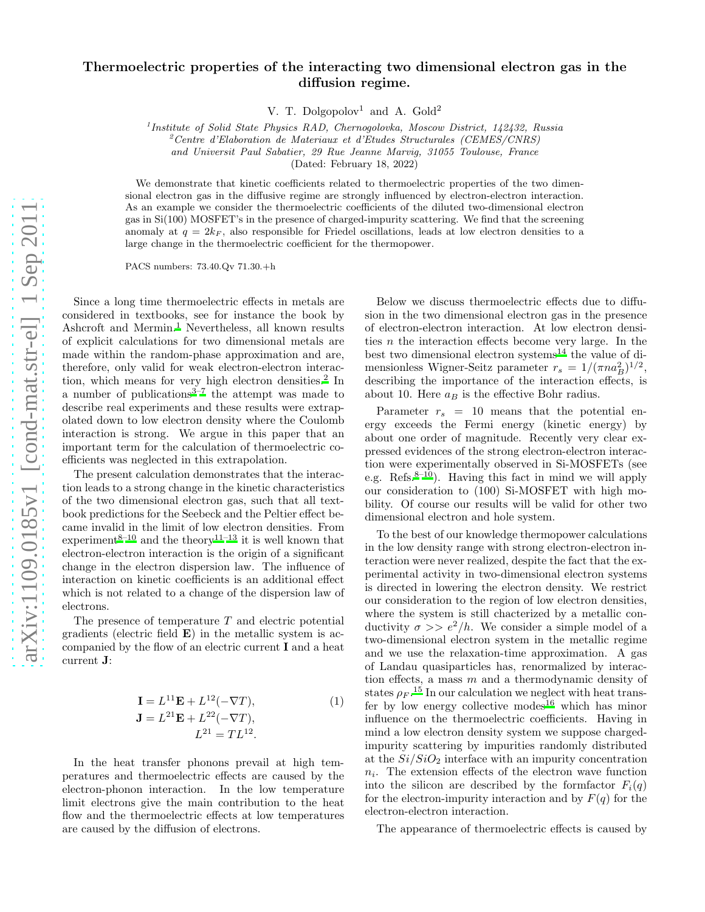## Thermoelectric properties of the interacting two dimensional electron gas in the diffusion regime.

V. T. Dolgopolov<sup>1</sup> and A. Gold<sup>2</sup>

<sup>1</sup> Institute of Solid State Physics RAD, Chernogolovka, Moscow District, 142432, Russia

 $^{2}$ Centre d'Elaboration de Materiaux et d'Etudes Structurales (CEMES/CNRS)

and Universit Paul Sabatier, 29 Rue Jeanne Marvig, 31055 Toulouse, France

(Dated: February 18, 2022)

We demonstrate that kinetic coefficients related to thermoelectric properties of the two dimensional electron gas in the diffusive regime are strongly influenced by electron-electron interaction. As an example we consider the thermoelectric coefficients of the diluted two-dimensional electron gas in Si(100) MOSFET's in the presence of charged-impurity scattering. We find that the screening anomaly at  $q = 2k_F$ , also responsible for Friedel oscillations, leads at low electron densities to a large change in the thermoelectric coefficient for the thermopower.

PACS numbers: 73.40.Qv 71.30.+h

Since a long time thermoelectric effects in metals are considered in textbooks, see for instance the book by Ashcroft and Mermin.<sup>[1](#page-3-0)</sup> Nevertheless, all known results of explicit calculations for two dimensional metals are made within the random-phase approximation and are, therefore, only valid for weak electron-electron interac-tion, which means for very high electron densities.<sup>[2](#page-3-1)</sup> In a number of publications $3\frac{3}{7}$  $3\frac{3}{7}$  the attempt was made to describe real experiments and these results were extrapolated down to low electron density where the Coulomb interaction is strong. We argue in this paper that an important term for the calculation of thermoelectric coefficients was neglected in this extrapolation.

The present calculation demonstrates that the interaction leads to a strong change in the kinetic characteristics of the two dimensional electron gas, such that all textbook predictions for the Seebeck and the Peltier effect became invalid in the limit of low electron densities. From experiment<sup>[8](#page-3-4)[–10](#page-3-5)</sup> and the theory<sup>[11](#page-3-6)[–13](#page-3-7)</sup> it is well known that electron-electron interaction is the origin of a significant change in the electron dispersion law. The influence of interaction on kinetic coefficients is an additional effect which is not related to a change of the dispersion law of electrons.

The presence of temperature  $T$  and electric potential gradients (electric field  $\bf{E}$ ) in the metallic system is accompanied by the flow of an electric current I and a heat current J:

<span id="page-0-0"></span>
$$
\mathbf{I} = L^{11} \mathbf{E} + L^{12} (-\nabla T),
$$
  
\n
$$
\mathbf{J} = L^{21} \mathbf{E} + L^{22} (-\nabla T),
$$
  
\n
$$
L^{21} = TL^{12}.
$$
 (1)

In the heat transfer phonons prevail at high temperatures and thermoelectric effects are caused by the electron-phonon interaction. In the low temperature limit electrons give the main contribution to the heat flow and the thermoelectric effects at low temperatures are caused by the diffusion of electrons.

Below we discuss thermoelectric effects due to diffusion in the two dimensional electron gas in the presence of electron-electron interaction. At low electron densities  $n$  the interaction effects become very large. In the best two dimensional electron systems<sup>[14](#page-3-8)</sup> the value of dimensionless Wigner-Seitz parameter  $r_s = 1/(\pi n a_B^2)^{1/2}$ , describing the importance of the interaction effects, is about 10. Here  $a_B$  is the effective Bohr radius.

Parameter  $r_s = 10$  means that the potential energy exceeds the Fermi energy (kinetic energy) by about one order of magnitude. Recently very clear expressed evidences of the strong electron-electron interaction were experimentally observed in Si-MOSFETs (see e.g. Refs.<sup>[8](#page-3-4)[–10](#page-3-5)</sup>). Having this fact in mind we will apply our consideration to (100) Si-MOSFET with high mobility. Of course our results will be valid for other two dimensional electron and hole system.

To the best of our knowledge thermopower calculations in the low density range with strong electron-electron interaction were never realized, despite the fact that the experimental activity in two-dimensional electron systems is directed in lowering the electron density. We restrict our consideration to the region of low electron densities, where the system is still chacterized by a metallic conductivity  $\sigma >> e^2/h$ . We consider a simple model of a two-dimensional electron system in the metallic regime and we use the relaxation-time approximation. A gas of Landau quasiparticles has, renormalized by interaction effects, a mass m and a thermodynamic density of states  $\rho_F$ .<sup>[15](#page-3-9)</sup> In our calculation we neglect with heat trans-fer by low energy collective modes<sup>[16](#page-3-10)</sup> which has minor influence on the thermoelectric coefficients. Having in mind a low electron density system we suppose chargedimpurity scattering by impurities randomly distributed at the  $Si/SiO<sub>2</sub>$  interface with an impurity concentration  $n_i$ . The extension effects of the electron wave function into the silicon are described by the formfactor  $F_i(q)$ for the electron-impurity interaction and by  $F(q)$  for the electron-electron interaction.

The appearance of thermoelectric effects is caused by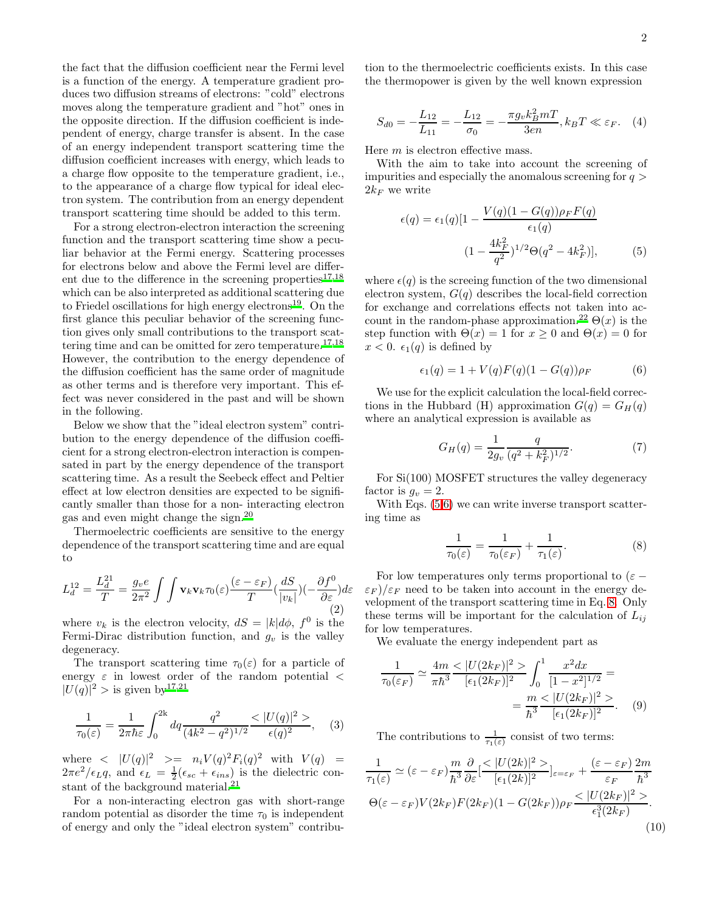the fact that the diffusion coefficient near the Fermi level is a function of the energy. A temperature gradient produces two diffusion streams of electrons: "cold" electrons moves along the temperature gradient and "hot" ones in the opposite direction. If the diffusion coefficient is independent of energy, charge transfer is absent. In the case of an energy independent transport scattering time the diffusion coefficient increases with energy, which leads to a charge flow opposite to the temperature gradient, i.e., to the appearance of a charge flow typical for ideal electron system. The contribution from an energy dependent transport scattering time should be added to this term.

For a strong electron-electron interaction the screening function and the transport scattering time show a peculiar behavior at the Fermi energy. Scattering processes for electrons below and above the Fermi level are differ-ent due to the difference in the screening properties<sup>[17](#page-3-11)[,18](#page-3-12)</sup> which can be also interpreted as additional scattering due to Friedel oscillations for high energy electrons<sup>[19](#page-3-13)</sup>. On the first glance this peculiar behavior of the screening function gives only small contributions to the transport scat-tering time and can be omitted for zero temperature.<sup>[17](#page-3-11)[,18](#page-3-12)</sup> However, the contribution to the energy dependence of the diffusion coefficient has the same order of magnitude as other terms and is therefore very important. This effect was never considered in the past and will be shown in the following.

Below we show that the "ideal electron system" contribution to the energy dependence of the diffusion coefficient for a strong electron-electron interaction is compensated in part by the energy dependence of the transport scattering time. As a result the Seebeck effect and Peltier effect at low electron densities are expected to be significantly smaller than those for a non- interacting electron gas and even might change the sign.[20](#page-3-14)

Thermoelectric coefficients are sensitive to the energy dependence of the transport scattering time and are equal to

<span id="page-1-5"></span>
$$
L_d^{12} = \frac{L_d^{21}}{T} = \frac{g_v e}{2\pi^2} \int \int \mathbf{v}_k \mathbf{v}_k \tau_0(\varepsilon) \frac{(\varepsilon - \varepsilon_F)}{T} \left(\frac{dS}{|v_k|}\right) \left(-\frac{\partial f^0}{\partial \varepsilon}\right) d\varepsilon \tag{2}
$$

where  $v_k$  is the electron velocity,  $dS = |k| d\phi$ ,  $f^0$  is the Fermi-Dirac distribution function, and  $g_v$  is the valley degeneracy.

The transport scattering time  $\tau_0(\varepsilon)$  for a particle of energy  $\varepsilon$  in lowest order of the random potential  $\lt$  $|U(q)|^2 >$  is given by <sup>[17](#page-3-11)[,21](#page-3-15)</sup>

$$
\frac{1}{\tau_0(\varepsilon)} = \frac{1}{2\pi\hbar\varepsilon} \int_0^{2k} dq \frac{q^2}{(4k^2 - q^2)^{1/2}} \frac{\langle |U(q)|^2 \rangle}{\epsilon(q)^2}, \quad (3)
$$

where  $\langle |U(q)|^2 \rangle = n_i V(q)^2 F_i(q)^2$  with  $V(q) =$  $2\pi e^2/\epsilon_L q$ , and  $\epsilon_L = \frac{1}{2}(\epsilon_{sc} + \epsilon_{ins})$  is the dielectric constant of the background material.  $\!^{21}$  $\!^{21}$  $\!^{21}$ 

For a non-interacting electron gas with short-range random potential as disorder the time  $\tau_0$  is independent of energy and only the "ideal electron system" contribu-

tion to the thermoelectric coefficients exists. In this case the thermopower is given by the well known expression

<span id="page-1-6"></span>
$$
S_{d0} = -\frac{L_{12}}{L_{11}} = -\frac{L_{12}}{\sigma_0} = -\frac{\pi g_v k_B^2 m T}{3en}, k_B T \ll \varepsilon_F.
$$
 (4)

Here m is electron effective mass.

With the aim to take into account the screening of impurities and especially the anomalous screening for  $q >$  $2k_F$  we write

<span id="page-1-0"></span>
$$
\epsilon(q) = \epsilon_1(q)[1 - \frac{V(q)(1 - G(q))\rho_F F(q)}{\epsilon_1(q)}
$$

$$
(1 - \frac{4k_F^2}{q^2})^{1/2}\Theta(q^2 - 4k_F^2)], \qquad (5)
$$

where  $\epsilon(q)$  is the screeing function of the two dimensional electron system,  $G(q)$  describes the local-field correction for exchange and correlations effects not taken into ac-count in the random-phase approximation.<sup>[22](#page-3-16)</sup>  $\Theta(x)$  is the step function with  $\Theta(x) = 1$  for  $x \geq 0$  and  $\Theta(x) = 0$  for  $x < 0$ .  $\epsilon_1(q)$  is defined by

<span id="page-1-1"></span>
$$
\epsilon_1(q) = 1 + V(q)F(q)(1 - G(q))\rho_F \tag{6}
$$

We use for the explicit calculation the local-field corrections in the Hubbard (H) approximation  $G(q) = G_H(q)$ where an analytical expression is available as

$$
G_H(q) = \frac{1}{2g_v} \frac{q}{(q^2 + k_F^2)^{1/2}}.\tag{7}
$$

For Si(100) MOSFET structures the valley degeneracy factor is  $g_v = 2$ .

With Eqs.  $(5,6)$  $(5,6)$  we can write inverse transport scattering time as

<span id="page-1-2"></span>
$$
\frac{1}{\tau_0(\varepsilon)} = \frac{1}{\tau_0(\varepsilon_F)} + \frac{1}{\tau_1(\varepsilon)}.\tag{8}
$$

For low temperatures only terms proportional to  $(\varepsilon (\varepsilon_F)/\varepsilon_F$  need to be taken into account in the energy development of the transport scattering time in Eq. [8.](#page-1-2) Only these terms will be important for the calculation of  $L_{ij}$ for low temperatures.

We evaluate the energy independent part as

<span id="page-1-3"></span>
$$
\frac{1}{\tau_0(\varepsilon_F)} \simeq \frac{4m}{\pi \hbar^3} \frac{\langle |U(2k_F)|^2 \rangle}{[\epsilon_1(2k_F)]^2} \int_0^1 \frac{x^2 dx}{[1-x^2]^{1/2}} =
$$

$$
= \frac{m}{\hbar^3} \frac{\langle |U(2k_F)|^2 \rangle}{[\epsilon_1(2k_F)]^2}.
$$
(9)

The contributions to  $\frac{1}{\tau_1(\varepsilon)}$  consist of two terms:

<span id="page-1-4"></span>
$$
\frac{1}{\tau_1(\varepsilon)} \simeq (\varepsilon - \varepsilon_F) \frac{m}{\hbar^3} \frac{\partial}{\partial \varepsilon} \left[ \frac{\langle |U(2k)|^2 \rangle}{[\varepsilon_1(2k)]^2} \right]_{\varepsilon = \varepsilon_F} + \frac{(\varepsilon - \varepsilon_F)}{\varepsilon_F} \frac{2m}{\hbar^3}
$$
\n
$$
\Theta(\varepsilon - \varepsilon_F) V(2k_F) F(2k_F) (1 - G(2k_F)) \rho_F \frac{\langle |U(2k_F)|^2 \rangle}{\varepsilon_1^3 (2k_F)}.
$$
\n(10)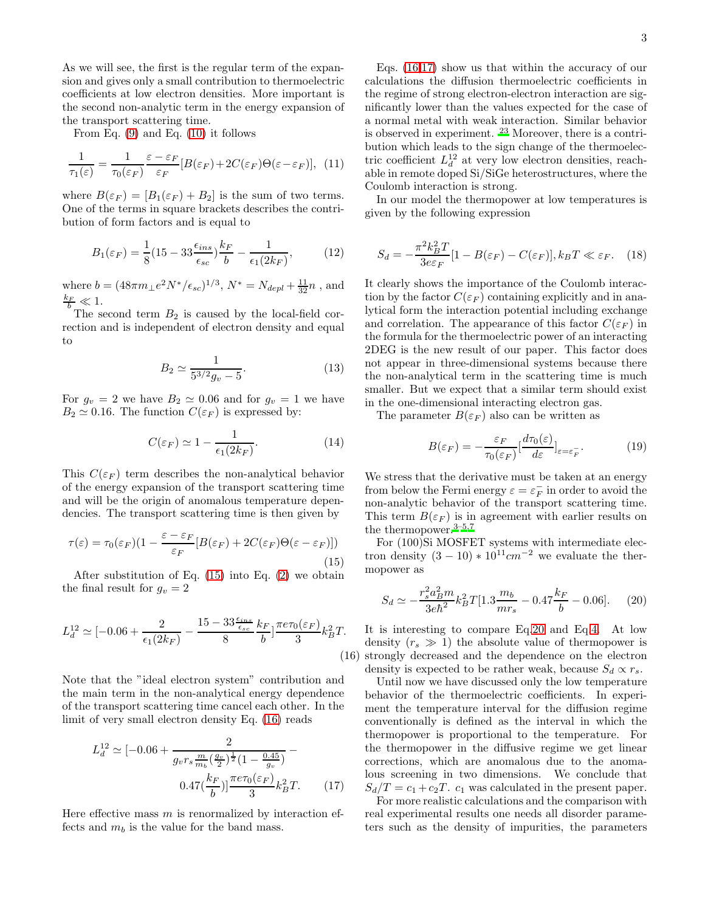As we will see, the first is the regular term of the expansion and gives only a small contribution to thermoelectric coefficients at low electron densities. More important is the second non-analytic term in the energy expansion of the transport scattering time.

From Eq.  $(9)$  and Eq.  $(10)$  it follows

$$
\frac{1}{\tau_1(\varepsilon)} = \frac{1}{\tau_0(\varepsilon_F)} \frac{\varepsilon - \varepsilon_F}{\varepsilon_F} [B(\varepsilon_F) + 2C(\varepsilon_F)\Theta(\varepsilon - \varepsilon_F)], \tag{11}
$$

where  $B(\varepsilon_F) = [B_1(\varepsilon_F) + B_2]$  is the sum of two terms. One of the terms in square brackets describes the contribution of form factors and is equal to

$$
B_1(\varepsilon_F) = \frac{1}{8}(15 - 33\frac{\epsilon_{ins}}{\epsilon_{sc}})\frac{k_F}{b} - \frac{1}{\epsilon_1(2k_F)},\tag{12}
$$

where  $b = (48\pi m_{\perp}e^2 N^*/\epsilon_{sc})^{1/3},$   $N^* = N_{depl} + \frac{11}{32}n$  , and  $\frac{k_F}{b} \ll 1$ .

The second term  $B_2$  is caused by the local-field correction and is independent of electron density and equal to

$$
B_2 \simeq \frac{1}{5^{3/2}g_v - 5}.\tag{13}
$$

For  $g_v = 2$  we have  $B_2 \simeq 0.06$  and for  $g_v = 1$  we have  $B_2 \simeq 0.16$ . The function  $C(\varepsilon_F)$  is expressed by:

$$
C(\varepsilon_F) \simeq 1 - \frac{1}{\epsilon_1(2k_F)}.\tag{14}
$$

This  $C(\varepsilon_F)$  term describes the non-analytical behavior of the energy expansion of the transport scattering time and will be the origin of anomalous temperature dependencies. The transport scattering time is then given by

<span id="page-2-0"></span>
$$
\tau(\varepsilon) = \tau_0(\varepsilon_F)(1 - \frac{\varepsilon - \varepsilon_F}{\varepsilon_F} [B(\varepsilon_F) + 2C(\varepsilon_F)\Theta(\varepsilon - \varepsilon_F)])
$$
\n(15)

After substitution of Eq.  $(15)$  into Eq.  $(2)$  we obtain the final result for  $g_v = 2$ 

<span id="page-2-1"></span>
$$
L_d^{12} \simeq [-0.06 + \frac{2}{\epsilon_1 (2k_F)} - \frac{15 - 33 \frac{\epsilon_{ins}}{\epsilon_{sc}}}{8} \frac{k_F}{b}] \frac{\pi e \tau_0(\varepsilon_F)}{3} k_B^2 T.
$$
\n(1)

Note that the "ideal electron system" contribution and the main term in the non-analytical energy dependence of the transport scattering time cancel each other. In the limit of very small electron density Eq. [\(16\)](#page-2-1) reads

<span id="page-2-2"></span>
$$
L_d^{12} \simeq [-0.06 + \frac{2}{g_v r_s \frac{m}{m_b} (\frac{g_v}{2})^{\frac{1}{2}} (1 - \frac{0.45}{g_v})} - 0.47 (\frac{k_F}{b})]^{\frac{\pi e \tau_0 (\varepsilon_F)}{3}} k_B^2 T.
$$
 (17)

Here effective mass  $m$  is renormalized by interaction effects and  $m_b$  is the value for the band mass.

Eqs. [\(16](#page-2-1)[,17\)](#page-2-2) show us that within the accuracy of our calculations the diffusion thermoelectric coefficients in the regime of strong electron-electron interaction are significantly lower than the values expected for the case of a normal metal with weak interaction. Similar behavior is observed in experiment. [23](#page-3-17) Moreover, there is a contribution which leads to the sign change of the thermoelectric coefficient  $L_d^{12}$  at very low electron densities, reachable in remote doped Si/SiGe heterostructures, where the Coulomb interaction is strong.

In our model the thermopower at low temperatures is given by the following expression

$$
S_d = -\frac{\pi^2 k_B^2 T}{3e \varepsilon_F} [1 - B(\varepsilon_F) - C(\varepsilon_F)], k_B T \ll \varepsilon_F. \quad (18)
$$

It clearly shows the importance of the Coulomb interaction by the factor  $C(\varepsilon_F)$  containing explicitly and in analytical form the interaction potential including exchange and correlation. The appearance of this factor  $C(\varepsilon_F)$  in the formula for the thermoelectric power of an interacting 2DEG is the new result of our paper. This factor does not appear in three-dimensional systems because there the non-analytical term in the scattering time is much smaller. But we expect that a similar term should exist in the one-dimensional interacting electron gas.

The parameter  $B(\varepsilon_F)$  also can be written as

$$
B(\varepsilon_F) = -\frac{\varepsilon_F}{\tau_0(\varepsilon_F)} \left[\frac{d\tau_0(\varepsilon)}{d\varepsilon}\right]_{\varepsilon = \varepsilon_F^-}.\tag{19}
$$

We stress that the derivative must be taken at an energy from below the Fermi energy  $\varepsilon = \varepsilon_F^ \bar{F}$  in order to avoid the non-analytic behavior of the transport scattering time. This term  $B(\varepsilon_F)$  is in agreement with earlier results on the thermopower.<sup>[3](#page-3-2)[–5](#page-3-18)[,7](#page-3-3)</sup>

For (100)Si MOSFET systems with intermediate electron density  $(3 - 10) * 10^{11}$ cm<sup>-2</sup> we evaluate the thermopower as

<span id="page-2-3"></span>
$$
S_d \simeq -\frac{r_s^2 a_B^2 m}{3e\hbar^2} k_B^2 T[1.3 \frac{m_b}{m r_s} - 0.47 \frac{k_F}{b} - 0.06]. \tag{20}
$$

(16) It is interesting to compare Eq[.20](#page-2-3) and Eq[.4.](#page-1-6) At low density  $(r_s \gg 1)$  the absolute value of thermopower is strongly decreased and the dependence on the electron density is expected to be rather weak, because  $S_d \propto r_s$ .

Until now we have discussed only the low temperature behavior of the thermoelectric coefficients. In experiment the temperature interval for the diffusion regime conventionally is defined as the interval in which the thermopower is proportional to the temperature. For the thermopower in the diffusive regime we get linear corrections, which are anomalous due to the anomalous screening in two dimensions. We conclude that  $S_d/T = c_1 + c_2T$ .  $c_1$  was calculated in the present paper.

For more realistic calculations and the comparison with real experimental results one needs all disorder parameters such as the density of impurities, the parameters